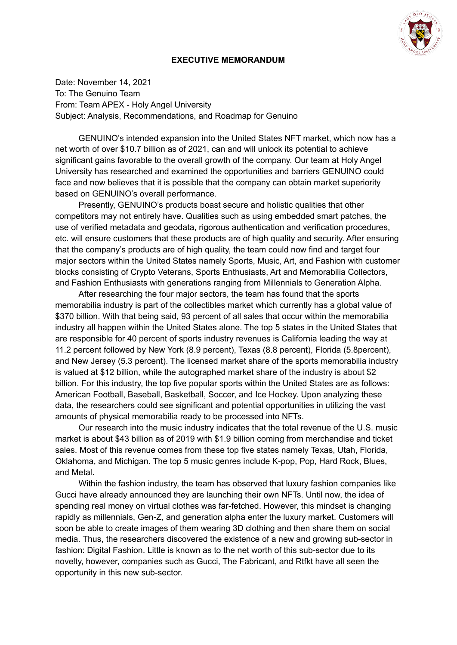

#### **EXECUTIVE MEMORANDUM**

Date: November 14, 2021 To: The Genuino Team From: Team APEX - Holy Angel University Subject: Analysis, Recommendations, and Roadmap for Genuino

GENUINO's intended expansion into the United States NFT market, which now has a net worth of over \$10.7 billion as of 2021, can and will unlock its potential to achieve significant gains favorable to the overall growth of the company. Our team at Holy Angel University has researched and examined the opportunities and barriers GENUINO could face and now believes that it is possible that the company can obtain market superiority based on GENUINO's overall performance.

Presently, GENUINO's products boast secure and holistic qualities that other competitors may not entirely have. Qualities such as using embedded smart patches, the use of verified metadata and geodata, rigorous authentication and verification procedures, etc. will ensure customers that these products are of high quality and security. After ensuring that the company's products are of high quality, the team could now find and target four major sectors within the United States namely Sports, Music, Art, and Fashion with customer blocks consisting of Crypto Veterans, Sports Enthusiasts, Art and Memorabilia Collectors, and Fashion Enthusiasts with generations ranging from Millennials to Generation Alpha.

After researching the four major sectors, the team has found that the sports memorabilia industry is part of the collectibles market which currently has a global value of \$370 billion. With that being said, 93 percent of all sales that occur within the memorabilia industry all happen within the United States alone. The top 5 states in the United States that are responsible for 40 percent of sports industry revenues is California leading the way at 11.2 percent followed by New York (8.9 percent), Texas (8.8 percent), Florida (5.8percent), and New Jersey (5.3 percent). The licensed market share of the sports memorabilia industry is valued at \$12 billion, while the autographed market share of the industry is about \$2 billion. For this industry, the top five popular sports within the United States are as follows: American Football, Baseball, Basketball, Soccer, and Ice Hockey. Upon analyzing these data, the researchers could see significant and potential opportunities in utilizing the vast amounts of physical memorabilia ready to be processed into NFTs.

Our research into the music industry indicates that the total revenue of the U.S. music market is about \$43 billion as of 2019 with \$1.9 billion coming from merchandise and ticket sales. Most of this revenue comes from these top five states namely Texas, Utah, Florida, Oklahoma, and Michigan. The top 5 music genres include K-pop, Pop, Hard Rock, Blues, and Metal.

Within the fashion industry, the team has observed that luxury fashion companies like Gucci have already announced they are launching their own NFTs. Until now, the idea of spending real money on virtual clothes was far-fetched. However, this mindset is changing rapidly as millennials, Gen-Z, and generation alpha enter the luxury market. Customers will soon be able to create images of them wearing 3D clothing and then share them on social media. Thus, the researchers discovered the existence of a new and growing sub-sector in fashion: Digital Fashion. Little is known as to the net worth of this sub-sector due to its novelty, however, companies such as Gucci, The Fabricant, and Rtfkt have all seen the opportunity in this new sub-sector.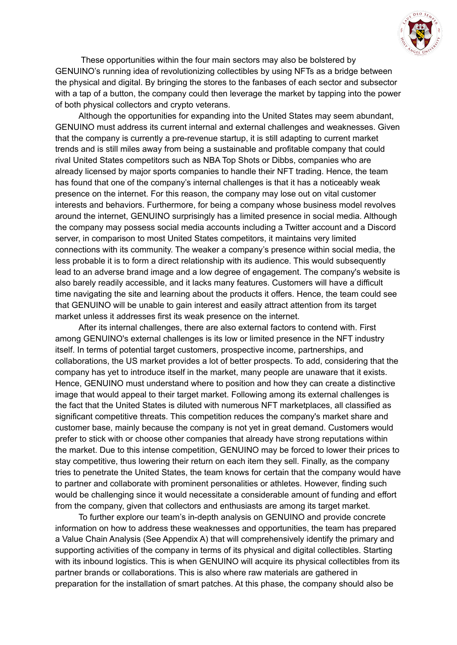

These opportunities within the four main sectors may also be bolstered by GENUINO's running idea of revolutionizing collectibles by using NFTs as a bridge between the physical and digital. By bringing the stores to the fanbases of each sector and subsector with a tap of a button, the company could then leverage the market by tapping into the power of both physical collectors and crypto veterans.

Although the opportunities for expanding into the United States may seem abundant, GENUINO must address its current internal and external challenges and weaknesses. Given that the company is currently a pre-revenue startup, it is still adapting to current market trends and is still miles away from being a sustainable and profitable company that could rival United States competitors such as NBA Top Shots or Dibbs, companies who are already licensed by major sports companies to handle their NFT trading. Hence, the team has found that one of the company's internal challenges is that it has a noticeably weak presence on the internet. For this reason, the company may lose out on vital customer interests and behaviors. Furthermore, for being a company whose business model revolves around the internet, GENUINO surprisingly has a limited presence in social media. Although the company may possess social media accounts including a Twitter account and a Discord server, in comparison to most United States competitors, it maintains very limited connections with its community. The weaker a company's presence within social media, the less probable it is to form a direct relationship with its audience. This would subsequently lead to an adverse brand image and a low degree of engagement. The company's website is also barely readily accessible, and it lacks many features. Customers will have a difficult time navigating the site and learning about the products it offers. Hence, the team could see that GENUINO will be unable to gain interest and easily attract attention from its target market unless it addresses first its weak presence on the internet.

After its internal challenges, there are also external factors to contend with. First among GENUINO's external challenges is its low or limited presence in the NFT industry itself. In terms of potential target customers, prospective income, partnerships, and collaborations, the US market provides a lot of better prospects. To add, considering that the company has yet to introduce itself in the market, many people are unaware that it exists. Hence, GENUINO must understand where to position and how they can create a distinctive image that would appeal to their target market. Following among its external challenges is the fact that the United States is diluted with numerous NFT marketplaces, all classified as significant competitive threats. This competition reduces the company's market share and customer base, mainly because the company is not yet in great demand. Customers would prefer to stick with or choose other companies that already have strong reputations within the market. Due to this intense competition, GENUINO may be forced to lower their prices to stay competitive, thus lowering their return on each item they sell. Finally, as the company tries to penetrate the United States, the team knows for certain that the company would have to partner and collaborate with prominent personalities or athletes. However, finding such would be challenging since it would necessitate a considerable amount of funding and effort from the company, given that collectors and enthusiasts are among its target market.

To further explore our team's in-depth analysis on GENUINO and provide concrete information on how to address these weaknesses and opportunities, the team has prepared a Value Chain Analysis (See Appendix A) that will comprehensively identify the primary and supporting activities of the company in terms of its physical and digital collectibles. Starting with its inbound logistics. This is when GENUINO will acquire its physical collectibles from its partner brands or collaborations. This is also where raw materials are gathered in preparation for the installation of smart patches. At this phase, the company should also be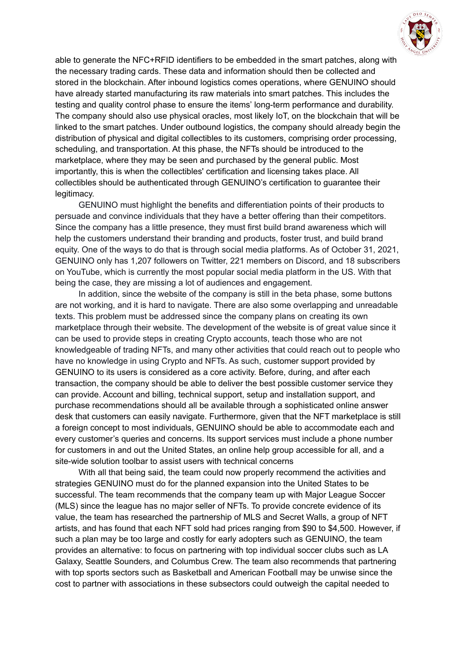

able to generate the NFC+RFID identifiers to be embedded in the smart patches, along with the necessary trading cards. These data and information should then be collected and stored in the blockchain. After inbound logistics comes operations, where GENUINO should have already started manufacturing its raw materials into smart patches. This includes the testing and quality control phase to ensure the items' long-term performance and durability. The company should also use physical oracles, most likely IoT, on the blockchain that will be linked to the smart patches. Under outbound logistics, the company should already begin the distribution of physical and digital collectibles to its customers, comprising order processing, scheduling, and transportation. At this phase, the NFTs should be introduced to the marketplace, where they may be seen and purchased by the general public. Most importantly, this is when the collectibles' certification and licensing takes place. All collectibles should be authenticated through GENUINO's certification to guarantee their legitimacy.

GENUINO must highlight the benefits and differentiation points of their products to persuade and convince individuals that they have a better offering than their competitors. Since the company has a little presence, they must first build brand awareness which will help the customers understand their branding and products, foster trust, and build brand equity. One of the ways to do that is through social media platforms. As of October 31, 2021, GENUINO only has 1,207 followers on Twitter, 221 members on Discord, and 18 subscribers on YouTube, which is currently the most popular social media platform in the US. With that being the case, they are missing a lot of audiences and engagement.

In addition, since the website of the company is still in the beta phase, some buttons are not working, and it is hard to navigate. There are also some overlapping and unreadable texts. This problem must be addressed since the company plans on creating its own marketplace through their website. The development of the website is of great value since it can be used to provide steps in creating Crypto accounts, teach those who are not knowledgeable of trading NFTs, and many other activities that could reach out to people who have no knowledge in using Crypto and NFTs. As such, customer support provided by GENUINO to its users is considered as a core activity. Before, during, and after each transaction, the company should be able to deliver the best possible customer service they can provide. Account and billing, technical support, setup and installation support, and purchase recommendations should all be available through a sophisticated online answer desk that customers can easily navigate. Furthermore, given that the NFT marketplace is still a foreign concept to most individuals, GENUINO should be able to accommodate each and every customer's queries and concerns. Its support services must include a phone number for customers in and out the United States, an online help group accessible for all, and a site-wide solution toolbar to assist users with technical concerns

With all that being said, the team could now properly recommend the activities and strategies GENUINO must do for the planned expansion into the United States to be successful. The team recommends that the company team up with Major League Soccer (MLS) since the league has no major seller of NFTs. To provide concrete evidence of its value, the team has researched the partnership of MLS and Secret Walls, a group of NFT artists, and has found that each NFT sold had prices ranging from \$90 to \$4,500. However, if such a plan may be too large and costly for early adopters such as GENUINO, the team provides an alternative: to focus on partnering with top individual soccer clubs such as LA Galaxy, Seattle Sounders, and Columbus Crew. The team also recommends that partnering with top sports sectors such as Basketball and American Football may be unwise since the cost to partner with associations in these subsectors could outweigh the capital needed to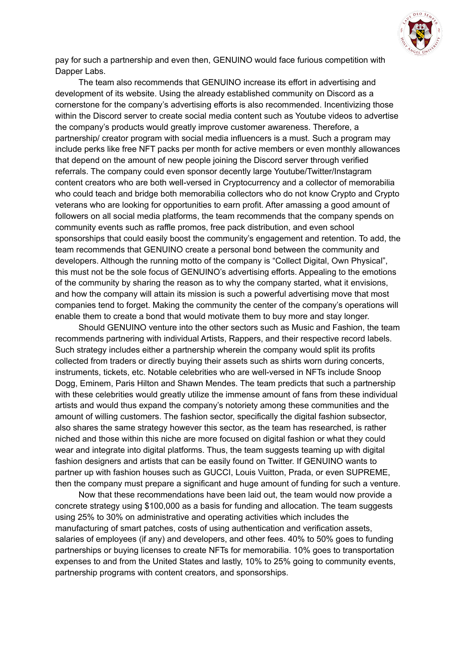

pay for such a partnership and even then, GENUINO would face furious competition with Dapper Labs.

The team also recommends that GENUINO increase its effort in advertising and development of its website. Using the already established community on Discord as a cornerstone for the company's advertising efforts is also recommended. Incentivizing those within the Discord server to create social media content such as Youtube videos to advertise the company's products would greatly improve customer awareness. Therefore, a partnership/ creator program with social media influencers is a must. Such a program may include perks like free NFT packs per month for active members or even monthly allowances that depend on the amount of new people joining the Discord server through verified referrals. The company could even sponsor decently large Youtube/Twitter/Instagram content creators who are both well-versed in Cryptocurrency and a collector of memorabilia who could teach and bridge both memorabilia collectors who do not know Crypto and Crypto veterans who are looking for opportunities to earn profit. After amassing a good amount of followers on all social media platforms, the team recommends that the company spends on community events such as raffle promos, free pack distribution, and even school sponsorships that could easily boost the community's engagement and retention. To add, the team recommends that GENUINO create a personal bond between the community and developers. Although the running motto of the company is "Collect Digital, Own Physical", this must not be the sole focus of GENUINO's advertising efforts. Appealing to the emotions of the community by sharing the reason as to why the company started, what it envisions, and how the company will attain its mission is such a powerful advertising move that most companies tend to forget. Making the community the center of the company's operations will enable them to create a bond that would motivate them to buy more and stay longer.

Should GENUINO venture into the other sectors such as Music and Fashion, the team recommends partnering with individual Artists, Rappers, and their respective record labels. Such strategy includes either a partnership wherein the company would split its profits collected from traders or directly buying their assets such as shirts worn during concerts, instruments, tickets, etc. Notable celebrities who are well-versed in NFTs include Snoop Dogg, Eminem, Paris Hilton and Shawn Mendes. The team predicts that such a partnership with these celebrities would greatly utilize the immense amount of fans from these individual artists and would thus expand the company's notoriety among these communities and the amount of willing customers. The fashion sector, specifically the digital fashion subsector, also shares the same strategy however this sector, as the team has researched, is rather niched and those within this niche are more focused on digital fashion or what they could wear and integrate into digital platforms. Thus, the team suggests teaming up with digital fashion designers and artists that can be easily found on Twitter. If GENUINO wants to partner up with fashion houses such as GUCCI, Louis Vuitton, Prada, or even SUPREME, then the company must prepare a significant and huge amount of funding for such a venture.

Now that these recommendations have been laid out, the team would now provide a concrete strategy using \$100,000 as a basis for funding and allocation. The team suggests using 25% to 30% on administrative and operating activities which includes the manufacturing of smart patches, costs of using authentication and verification assets, salaries of employees (if any) and developers, and other fees. 40% to 50% goes to funding partnerships or buying licenses to create NFTs for memorabilia. 10% goes to transportation expenses to and from the United States and lastly, 10% to 25% going to community events, partnership programs with content creators, and sponsorships.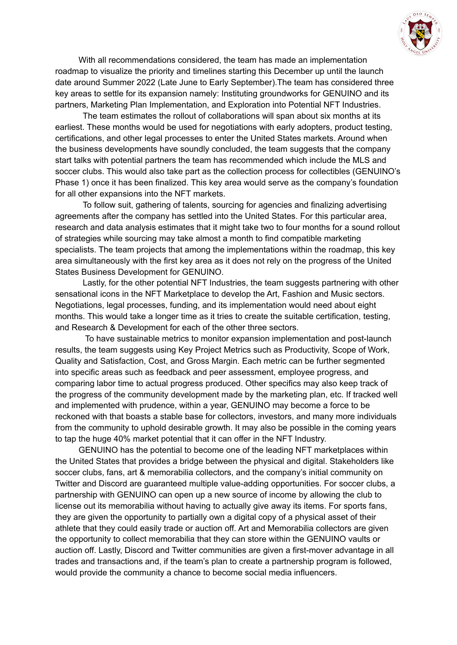

With all recommendations considered, the team has made an implementation roadmap to visualize the priority and timelines starting this December up until the launch date around Summer 2022 (Late June to Early September).The team has considered three key areas to settle for its expansion namely: Instituting groundworks for GENUINO and its partners, Marketing Plan Implementation, and Exploration into Potential NFT Industries.

The team estimates the rollout of collaborations will span about six months at its earliest. These months would be used for negotiations with early adopters, product testing, certifications, and other legal processes to enter the United States markets. Around when the business developments have soundly concluded, the team suggests that the company start talks with potential partners the team has recommended which include the MLS and soccer clubs. This would also take part as the collection process for collectibles (GENUINO's Phase 1) once it has been finalized. This key area would serve as the company's foundation for all other expansions into the NFT markets.

To follow suit, gathering of talents, sourcing for agencies and finalizing advertising agreements after the company has settled into the United States. For this particular area, research and data analysis estimates that it might take two to four months for a sound rollout of strategies while sourcing may take almost a month to find compatible marketing specialists. The team projects that among the implementations within the roadmap, this key area simultaneously with the first key area as it does not rely on the progress of the United States Business Development for GENUINO.

Lastly, for the other potential NFT Industries, the team suggests partnering with other sensational icons in the NFT Marketplace to develop the Art, Fashion and Music sectors. Negotiations, legal processes, funding, and its implementation would need about eight months. This would take a longer time as it tries to create the suitable certification, testing, and Research & Development for each of the other three sectors.

To have sustainable metrics to monitor expansion implementation and post-launch results, the team suggests using Key Project Metrics such as Productivity, Scope of Work, Quality and Satisfaction, Cost, and Gross Margin. Each metric can be further segmented into specific areas such as feedback and peer assessment, employee progress, and comparing labor time to actual progress produced. Other specifics may also keep track of the progress of the community development made by the marketing plan, etc. If tracked well and implemented with prudence, within a year, GENUINO may become a force to be reckoned with that boasts a stable base for collectors, investors, and many more individuals from the community to uphold desirable growth. It may also be possible in the coming years to tap the huge 40% market potential that it can offer in the NFT Industry.

GENUINO has the potential to become one of the leading NFT marketplaces within the United States that provides a bridge between the physical and digital. Stakeholders like soccer clubs, fans, art & memorabilia collectors, and the company's initial community on Twitter and Discord are guaranteed multiple value-adding opportunities. For soccer clubs, a partnership with GENUINO can open up a new source of income by allowing the club to license out its memorabilia without having to actually give away its items. For sports fans, they are given the opportunity to partially own a digital copy of a physical asset of their athlete that they could easily trade or auction off. Art and Memorabilia collectors are given the opportunity to collect memorabilia that they can store within the GENUINO vaults or auction off. Lastly, Discord and Twitter communities are given a first-mover advantage in all trades and transactions and, if the team's plan to create a partnership program is followed, would provide the community a chance to become social media influencers.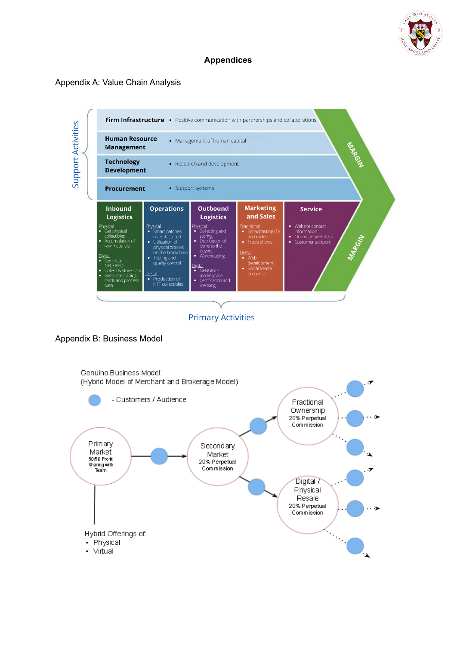

## **Appendices**

### Appendix A: Value Chain Analysis



#### Appendix B: Business Model

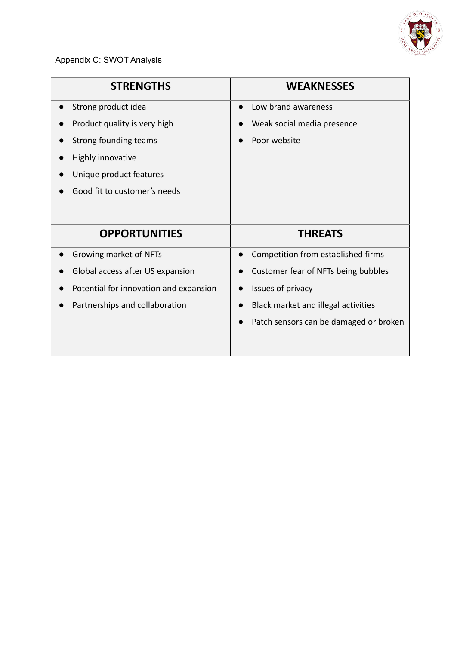

Appendix C: SWOT Analysis

| <b>STRENGTHS</b>                       | <b>WEAKNESSES</b>                      |
|----------------------------------------|----------------------------------------|
| Strong product idea                    | Low brand awareness                    |
| Product quality is very high           | Weak social media presence             |
| Strong founding teams                  | Poor website                           |
| Highly innovative                      |                                        |
| Unique product features                |                                        |
| Good fit to customer's needs           |                                        |
|                                        |                                        |
| <b>OPPORTUNITIES</b>                   | <b>THREATS</b>                         |
| Growing market of NFTs                 | Competition from established firms     |
| Global access after US expansion       | Customer fear of NFTs being bubbles    |
| Potential for innovation and expansion | Issues of privacy                      |
| Partnerships and collaboration         | Black market and illegal activities    |
|                                        | Patch sensors can be damaged or broken |
|                                        |                                        |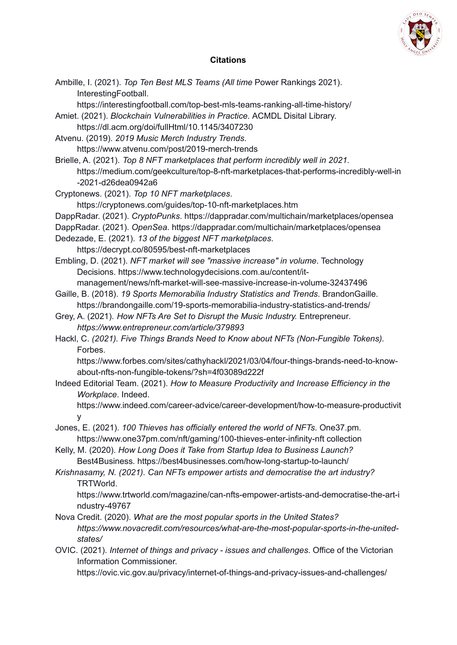

# **Citations**

| Ambille, I. (2021). Top Ten Best MLS Teams (All time Power Rankings 2021).<br>InterestingFootball.                                     |
|----------------------------------------------------------------------------------------------------------------------------------------|
| https://interestingfootball.com/top-best-mls-teams-ranking-all-time-history/                                                           |
| Amiet. (2021). Blockchain Vulnerabilities in Practice. ACMDL Disital Library.                                                          |
| https://dl.acm.org/doi/fullHtml/10.1145/3407230                                                                                        |
| Atvenu. (2019). 2019 Music Merch Industry Trends.                                                                                      |
| https://www.atvenu.com/post/2019-merch-trends                                                                                          |
| Brielle, A. (2021). Top 8 NFT marketplaces that perform incredibly well in 2021.                                                       |
| https://medium.com/geekculture/top-8-nft-marketplaces-that-performs-incredibly-well-in<br>-2021-d26dea0942a6                           |
| Cryptonews. (2021). Top 10 NFT marketplaces.                                                                                           |
| https://cryptonews.com/guides/top-10-nft-marketplaces.htm                                                                              |
| DappRadar. (2021). CryptoPunks. https://dappradar.com/multichain/marketplaces/opensea                                                  |
| DappRadar. (2021). OpenSea. https://dappradar.com/multichain/marketplaces/opensea                                                      |
| Dedezade, E. (2021). 13 of the biggest NFT marketplaces.                                                                               |
| https://decrypt.co/80595/best-nft-marketplaces                                                                                         |
| Embling, D. (2021). NFT market will see "massive increase" in volume. Technology                                                       |
| Decisions. https://www.technologydecisions.com.au/content/it-                                                                          |
| management/news/nft-market-will-see-massive-increase-in-volume-32437496                                                                |
| Gaille, B. (2018). 19 Sports Memorabilia Industry Statistics and Trends. BrandonGaille.                                                |
| https://brandongaille.com/19-sports-memorabilia-industry-statistics-and-trends/                                                        |
| Grey, A. (2021). How NFTs Are Set to Disrupt the Music Industry. Entrepreneur.                                                         |
| https://www.entrepreneur.com/article/379893                                                                                            |
| Hackl, C. (2021). Five Things Brands Need to Know about NFTs (Non-Fungible Tokens).                                                    |
| Forbes.                                                                                                                                |
| https://www.forbes.com/sites/cathyhackl/2021/03/04/four-things-brands-need-to-know-<br>about-nfts-non-fungible-tokens/?sh=4f03089d222f |
| Indeed Editorial Team. (2021). How to Measure Productivity and Increase Efficiency in the<br>Workplace. Indeed.                        |
| https://www.indeed.com/career-advice/career-development/how-to-measure-productivit                                                     |
| v.                                                                                                                                     |
| Jones, E. (2021). 100 Thieves has officially entered the world of NFTs. One37.pm.                                                      |
| https://www.one37pm.com/nft/gaming/100-thieves-enter-infinity-nft collection                                                           |
| Kelly, M. (2020). How Long Does it Take from Startup Idea to Business Launch?                                                          |
| Best4Business. https://best4businesses.com/how-long-startup-to-launch/                                                                 |
| Krishnasamy, N. (2021). Can NFTs empower artists and democratise the art industry?                                                     |
| TRTWorld.                                                                                                                              |
| https://www.trtworld.com/magazine/can-nfts-empower-artists-and-democratise-the-art-i<br>ndustry-49767                                  |
| Nova Credit. (2020). What are the most popular sports in the United States?                                                            |
| https://www.novacredit.com/resources/what-are-the-most-popular-sports-in-the-united-<br>states/                                        |
| OVIC. (2021). Internet of things and privacy - issues and challenges. Office of the Victorian                                          |
| Information Commissioner.                                                                                                              |
| https://ovic.vic.gov.au/privacy/internet-of-things-and-privacy-issues-and-challenges/                                                  |
|                                                                                                                                        |
|                                                                                                                                        |